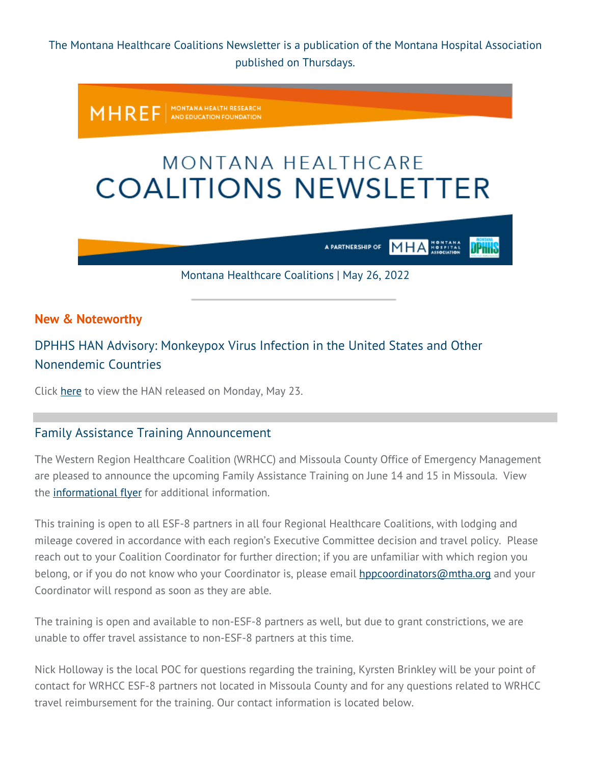The Montana Healthcare Coalitions Newsletter is a publication of the Montana Hospital Association published on Thursdays.

MONTANA HEALTH RESEARCH<br>AND EDUCATION FOUNDATION **MHREF** 

# MONTANA HEALTHCARE **COALITIONS NEWSLETTER**

**MHA** A PARTNERSHIP OF

JPnna

Montana Healthcare Coalitions | May 26, 2022

## **New & Noteworthy**

# DPHHS HAN Advisory: Monkeypox Virus Infection in the United States and Other Nonendemic Countries

Click [here](https://montanahospitalassociation.createsend1.com/t/t-i-qddhuly-l-r/) to view the HAN released on Monday, May 23.

## Family Assistance Training Announcement

The Western Region Healthcare Coalition (WRHCC) and Missoula County Office of Emergency Management are pleased to announce the upcoming Family Assistance Training on June 14 and 15 in Missoula. View the [informational flyer](https://montanahospitalassociation.createsend1.com/t/t-i-qddhuly-l-y/) for additional information.

This training is open to all ESF-8 partners in all four Regional Healthcare Coalitions, with lodging and mileage covered in accordance with each region's Executive Committee decision and travel policy. Please reach out to your Coalition Coordinator for further direction; if you are unfamiliar with which region you belong, or if you do not know who your Coordinator is, please email [hppcoordinators@mtha.org](mailto:hppcoordinators@mtha.org) and your Coordinator will respond as soon as they are able.

The training is open and available to non-ESF-8 partners as well, but due to grant constrictions, we are unable to offer travel assistance to non-ESF-8 partners at this time.

Nick Holloway is the local POC for questions regarding the training, Kyrsten Brinkley will be your point of contact for WRHCC ESF-8 partners not located in Missoula County and for any questions related to WRHCC travel reimbursement for the training. Our contact information is located below.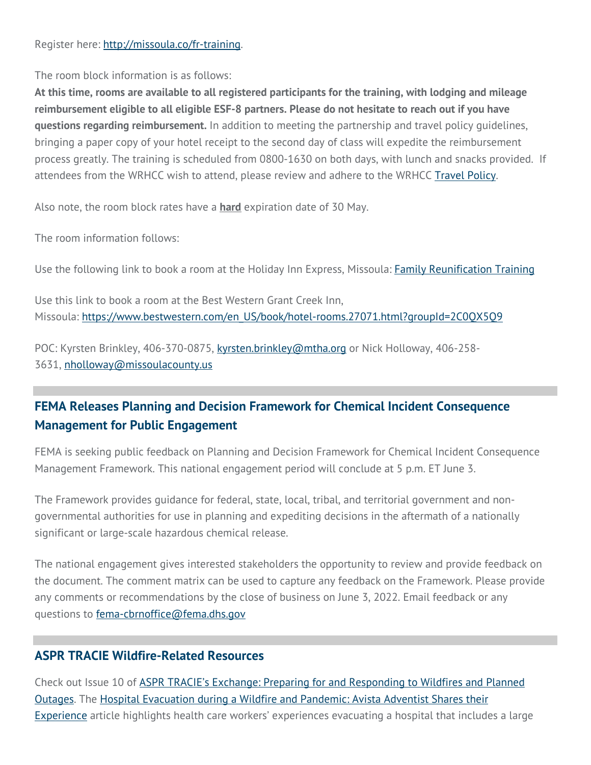#### Register here: [http://missoula.co/fr-training.](https://montanahospitalassociation.createsend1.com/t/t-i-qddhuly-l-j/)

The room block information is as follows:

**At this time, rooms are available to all registered participants for the training, with lodging and mileage reimbursement eligible to all eligible ESF-8 partners. Please do not hesitate to reach out if you have questions regarding reimbursement.** In addition to meeting the partnership and travel policy guidelines, bringing a paper copy of your hotel receipt to the second day of class will expedite the reimbursement process greatly. The training is scheduled from 0800-1630 on both days, with lunch and snacks provided. If attendees from the WRHCC wish to attend, please review and adhere to the WRHCC [Travel Policy.](https://montanahospitalassociation.createsend1.com/t/t-i-qddhuly-l-t/)

Also note, the room block rates have a **hard** expiration date of 30 May.

The room information follows:

Use the following link to book a room at the Holiday Inn Express, Missoula: [Family Reunification Training](https://montanahospitalassociation.createsend1.com/t/t-i-qddhuly-l-i/)

Use this link to book a room at the Best Western Grant Creek Inn, Missoula: https://www.bestwestern.com/en\_US/book/hotel-rooms.27071.html?groupId=2C0OX5O9

POC: Kyrsten Brinkley, 406-370-0875, [kyrsten.brinkley@mtha.org](mailto:kyrsten.brinkley@mtha.org) or Nick Holloway, 406-258- 3631, [nholloway@missoulacounty.us](mailto:nholloway@missoulacounty.us) 

# **FEMA Releases Planning and Decision Framework for Chemical Incident Consequence Management for Public Engagement**

FEMA is seeking public feedback on Planning and Decision Framework for Chemical Incident Consequence Management Framework. This national engagement period will conclude at 5 p.m. ET June 3.

The Framework provides guidance for federal, state, local, tribal, and territorial government and nongovernmental authorities for use in planning and expediting decisions in the aftermath of a nationally significant or large-scale hazardous chemical release.

The national engagement gives interested stakeholders the opportunity to review and provide feedback on the document. The comment matrix can be used to capture any feedback on the Framework. Please provide any comments or recommendations by the close of business on June 3, 2022. Email feedback or any questions to [fema-cbrnoffice@fema.dhs.gov](mailto:fema-cbrnoffice@fema.dhs.gov)

## **ASPR TRACIE Wildfire-Related Resources**

Check out Issue 10 of [ASPR TRACIE's Exchange: Preparing for and Responding to Wildfires and Planned](https://montanahospitalassociation.createsend1.com/t/t-i-qddhuly-l-h/)  [Outages.](https://montanahospitalassociation.createsend1.com/t/t-i-qddhuly-l-h/) The [Hospital Evacuation during a Wildfire and Pandemic: Avista Adventist Shares their](https://montanahospitalassociation.createsend1.com/t/t-i-qddhuly-l-k/)  [Experience](https://montanahospitalassociation.createsend1.com/t/t-i-qddhuly-l-k/) article highlights health care workers' experiences evacuating a hospital that includes a large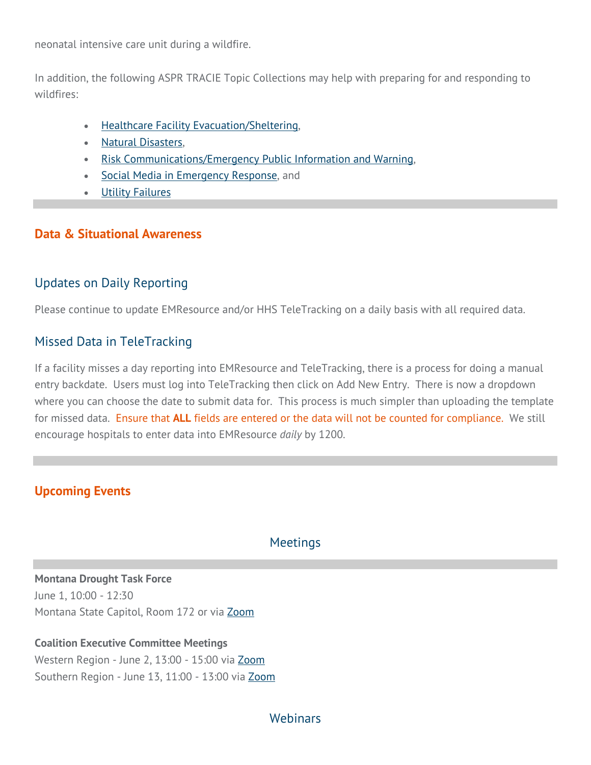neonatal intensive care unit during a wildfire.

In addition, the following ASPR TRACIE Topic Collections may help with preparing for and responding to wildfires:

- **[Healthcare Facility Evacuation/Sheltering,](https://montanahospitalassociation.createsend1.com/t/t-i-qddhuly-l-u/)**
- [Natural Disasters,](https://montanahospitalassociation.createsend1.com/t/t-i-qddhuly-l-o/)
- [Risk Communications/Emergency Public Information and Warning,](https://montanahospitalassociation.createsend1.com/t/t-i-qddhuly-l-b/)
- [Social Media in Emergency Response,](https://montanahospitalassociation.createsend1.com/t/t-i-qddhuly-l-n/) and
- **[Utility Failures](https://montanahospitalassociation.createsend1.com/t/t-i-qddhuly-l-p/)**

#### **Data & Situational Awareness**

## Updates on Daily Reporting

Please continue to update EMResource and/or HHS TeleTracking on a daily basis with all required data.

## Missed Data in TeleTracking

If a facility misses a day reporting into EMResource and TeleTracking, there is a process for doing a manual entry backdate. Users must log into TeleTracking then click on Add New Entry. There is now a dropdown where you can choose the date to submit data for. This process is much simpler than uploading the template for missed data. Ensure that **ALL** fields are entered or the data will not be counted for compliance. We still encourage hospitals to enter data into EMResource *daily* by 1200.

## **Upcoming Events**

## **Meetings**

**Montana Drought Task Force** June 1, 10:00 - 12:30 Montana State Capitol, Room 172 or via [Zoom](https://montanahospitalassociation.createsend1.com/t/t-i-qddhuly-l-x/)

#### **Coalition Executive Committee Meetings**

Western Region - June 2, 13:00 - 15:00 via [Zoom](https://montanahospitalassociation.createsend1.com/t/t-i-qddhuly-l-m/) Southern Region - June 13, 11:00 - 13:00 via [Zoom](https://montanahospitalassociation.createsend1.com/t/t-i-qddhuly-l-c/) 

## Webinars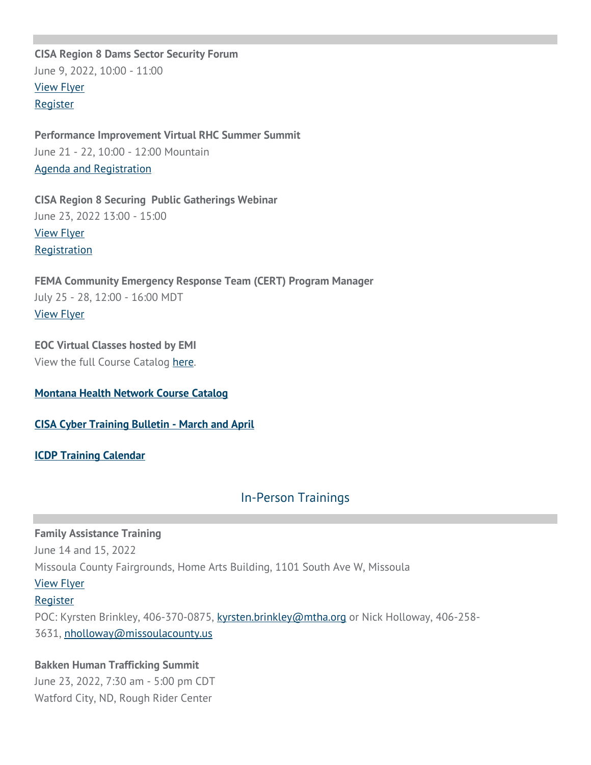**CISA Region 8 Dams Sector Security Forum** June 9, 2022, 10:00 - 11:00 [View Flyer](https://montanahospitalassociation.createsend1.com/t/t-i-qddhuly-l-q/) **[Register](https://montanahospitalassociation.createsend1.com/t/t-i-qddhuly-l-a/)** 

**Performance Improvement Virtual RHC Summer Summit** June 21 - 22, 10:00 - 12:00 Mountain [Agenda and Registration](https://montanahospitalassociation.createsend1.com/t/t-i-qddhuly-l-f/)

**CISA Region 8 Securing Public Gatherings Webinar** June 23, 2022 13:00 - 15:00 [View Flyer](https://montanahospitalassociation.createsend1.com/t/t-i-qddhuly-l-z/) **[Registration](https://montanahospitalassociation.createsend1.com/t/t-i-qddhuly-l-v/)** 

**FEMA Community Emergency Response Team (CERT) Program Manager** July 25 - 28, 12:00 - 16:00 MDT [View Flyer](https://montanahospitalassociation.createsend1.com/t/t-i-qddhuly-l-e/)

**EOC Virtual Classes hosted by EMI** View the full Course Catalog [here.](https://montanahospitalassociation.createsend1.com/t/t-i-qddhuly-l-s/)

**[Montana Health Network Course Catalog](https://montanahospitalassociation.createsend1.com/t/t-i-qddhuly-l-g/)**

**[CISA Cyber Training Bulletin - March and April](https://montanahospitalassociation.createsend1.com/t/t-i-qddhuly-l-w/)**

**[ICDP Training Calendar](https://montanahospitalassociation.createsend1.com/t/t-i-qddhuly-l-yd/)**

## In-Person Trainings

**Family Assistance Training** June 14 and 15, 2022 Missoula County Fairgrounds, Home Arts Building, 1101 South Ave W, Missoula [View Flyer](https://montanahospitalassociation.createsend1.com/t/t-i-qddhuly-l-yh/) **[Register](https://montanahospitalassociation.createsend1.com/t/t-i-qddhuly-l-jy/)** POC: Kyrsten Brinkley, 406-370-0875, [kyrsten.brinkley@mtha.org](mailto:kyrsten.brinkley@mtha.org) or Nick Holloway, 406-258- 3631, [nholloway@missoulacounty.us](mailto:nholloway@missoulacounty.us) 

**Bakken Human Trafficking Summit** June 23, 2022, 7:30 am - 5:00 pm CDT Watford City, ND, Rough Rider Center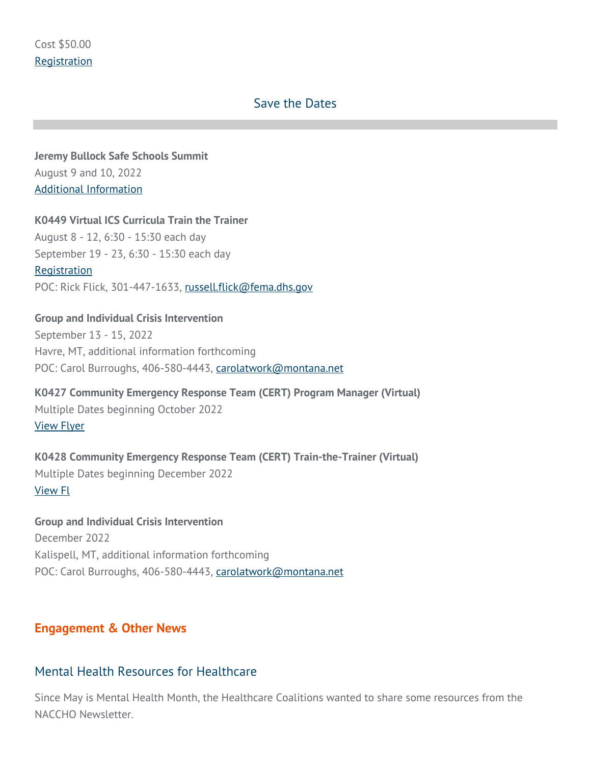#### Save the Dates

**Jeremy Bullock Safe Schools Summit** August 9 and 10, 2022 [Additional Information](https://montanahospitalassociation.createsend1.com/t/t-i-qddhuly-l-jt/)

**K0449 Virtual ICS Curricula Train the Trainer**

August 8 - 12, 6:30 - 15:30 each day September 19 - 23, 6:30 - 15:30 each day **[Registration](https://montanahospitalassociation.createsend1.com/t/t-i-qddhuly-l-ji/)** POC: Rick Flick, 301-447-1633, [russell.flick@fema.dhs.gov](mailto:russell.flick@fema.dhs.gov)

**Group and Individual Crisis Intervention** September 13 - 15, 2022 Havre, MT, additional information forthcoming POC: Carol Burroughs, 406-580-4443, [carolatwork@montana.net](mailto:carolatwork@montana.net)

**K0427 Community Emergency Response Team (CERT) Program Manager (Virtual)** Multiple Dates beginning October 2022 [View Flyer](https://montanahospitalassociation.createsend1.com/t/t-i-qddhuly-l-jd/)

**K0428 Community Emergency Response Team (CERT) Train-the-Trainer (Virtual)** Multiple Dates beginning December 2022 [View Fl](https://montanahospitalassociation.createsend1.com/t/t-i-qddhuly-l-jh/)

**Group and Individual Crisis Intervention** December 2022 Kalispell, MT, additional information forthcoming POC: Carol Burroughs, 406-580-4443, [carolatwork@montana.net](mailto:carolatwork@montana.net)

#### **Engagement & Other News**

#### Mental Health Resources for Healthcare

Since May is Mental Health Month, the Healthcare Coalitions wanted to share some resources from the NACCHO Newsletter.